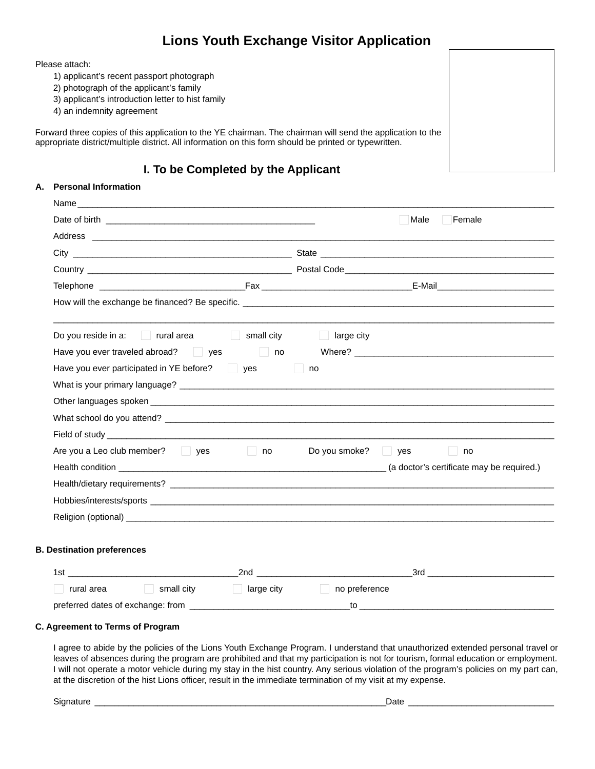## **Lions Youth Exchange Visitor Application**

Please attach:

- 1) applicant's recent passport photograph
- 2) photograph of the applicant's family
- 3) applicant's introduction letter to hist family
- 4) an indemnity agreement

Forward three copies of this application to the YE chairman. The chairman will send the application to the appropriate district/multiple district. All information on this form should be printed or typewritten.

### **I. To be Completed by the Applicant**

#### **A. Personal Information**

| Name                                                                                                                                                                                                                           |                                       |                                                                                                                                                                                                                                |
|--------------------------------------------------------------------------------------------------------------------------------------------------------------------------------------------------------------------------------|---------------------------------------|--------------------------------------------------------------------------------------------------------------------------------------------------------------------------------------------------------------------------------|
|                                                                                                                                                                                                                                |                                       | Male<br>$\Box$ Female                                                                                                                                                                                                          |
| Address and the contract of the contract of the contract of the contract of the contract of the contract of the contract of the contract of the contract of the contract of the contract of the contract of the contract of th |                                       |                                                                                                                                                                                                                                |
|                                                                                                                                                                                                                                |                                       |                                                                                                                                                                                                                                |
|                                                                                                                                                                                                                                |                                       |                                                                                                                                                                                                                                |
|                                                                                                                                                                                                                                |                                       |                                                                                                                                                                                                                                |
|                                                                                                                                                                                                                                |                                       |                                                                                                                                                                                                                                |
| Do you reside in a: $\Box$ rural area $\Box$ small city $\Box$                                                                                                                                                                 | large city                            |                                                                                                                                                                                                                                |
| Have you ever traveled abroad? $\Box$ yes $\Box$ no Where? $\Box$ Where $\Box$                                                                                                                                                 |                                       |                                                                                                                                                                                                                                |
| Have you ever participated in YE before? $\Box$ yes                                                                                                                                                                            | $\Box$ no                             |                                                                                                                                                                                                                                |
|                                                                                                                                                                                                                                |                                       |                                                                                                                                                                                                                                |
|                                                                                                                                                                                                                                |                                       |                                                                                                                                                                                                                                |
|                                                                                                                                                                                                                                |                                       |                                                                                                                                                                                                                                |
|                                                                                                                                                                                                                                |                                       |                                                                                                                                                                                                                                |
| Are you a Leo club member? $\Box$ yes $\Box$ no Do you smoke? $\Box$ yes                                                                                                                                                       |                                       | $\Box$ no                                                                                                                                                                                                                      |
|                                                                                                                                                                                                                                |                                       |                                                                                                                                                                                                                                |
|                                                                                                                                                                                                                                |                                       |                                                                                                                                                                                                                                |
|                                                                                                                                                                                                                                |                                       |                                                                                                                                                                                                                                |
|                                                                                                                                                                                                                                |                                       |                                                                                                                                                                                                                                |
|                                                                                                                                                                                                                                |                                       |                                                                                                                                                                                                                                |
| <b>B. Destination preferences</b>                                                                                                                                                                                              |                                       |                                                                                                                                                                                                                                |
|                                                                                                                                                                                                                                | <u> 1989 - Johann Barbara, martxa</u> | 3rd and the contract of the contract of the contract of the contract of the contract of the contract of the contract of the contract of the contract of the contract of the contract of the contract of the contract of the co |
| rural area $\Box$ small city $\Box$ large city $\Box$ no preference                                                                                                                                                            |                                       |                                                                                                                                                                                                                                |
|                                                                                                                                                                                                                                |                                       | $\overline{\phantom{a}}$ to $\overline{\phantom{a}}$ . The set of $\overline{\phantom{a}}$ is the set of $\overline{\phantom{a}}$ .                                                                                            |

#### **C. Agreement to Terms of Program**

I agree to abide by the policies of the Lions Youth Exchange Program. I understand that unauthorized extended personal travel or leaves of absences during the program are prohibited and that my participation is not for tourism, formal education or employment. I will not operate a motor vehicle during my stay in the hist country. Any serious violation of the program's policies on my part can, at the discretion of the hist Lions officer, result in the immediate termination of my visit at my expense.

Signature \_\_\_\_\_\_\_\_\_\_\_\_\_\_\_\_\_\_\_\_\_\_\_\_\_\_\_\_\_\_\_\_\_\_\_\_\_\_\_\_\_\_\_\_\_\_\_\_\_\_\_\_\_\_\_\_\_\_\_\_Date \_\_\_\_\_\_\_\_\_\_\_\_\_\_\_\_\_\_\_\_\_\_\_\_\_\_\_\_\_\_